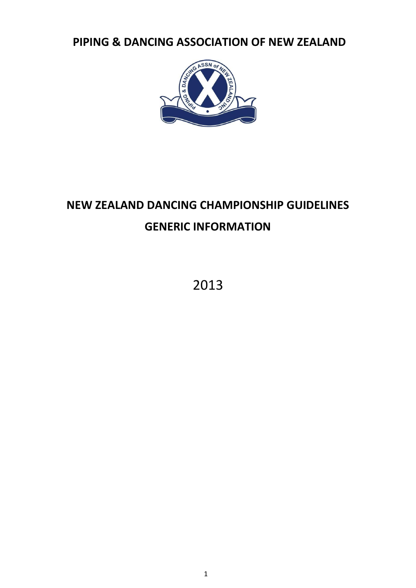**PIPING & DANCING ASSOCIATION OF NEW ZEALAND**



# **NEW ZEALAND DANCING CHAMPIONSHIP GUIDELINES GENERIC INFORMATION**

2013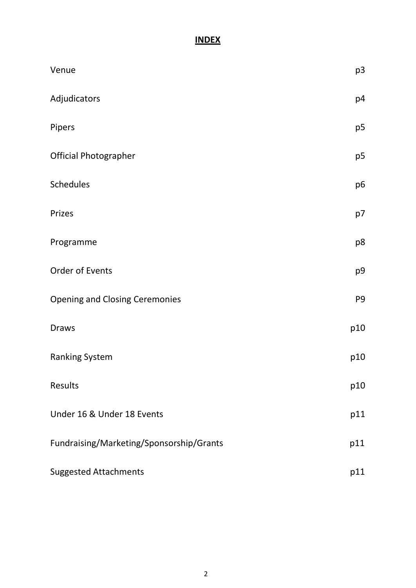# **INDEX**

| Venue                                    | p3             |
|------------------------------------------|----------------|
| Adjudicators                             | p4             |
| Pipers                                   | p <sub>5</sub> |
| <b>Official Photographer</b>             | p <sub>5</sub> |
| <b>Schedules</b>                         | p6             |
| Prizes                                   | p7             |
| Programme                                | p8             |
| Order of Events                          | p9             |
| <b>Opening and Closing Ceremonies</b>    | P <sub>9</sub> |
| <b>Draws</b>                             | p10            |
| <b>Ranking System</b>                    | p10            |
| Results                                  | p10            |
| Under 16 & Under 18 Events               | p11            |
| Fundraising/Marketing/Sponsorship/Grants | p11            |
| <b>Suggested Attachments</b>             | p11            |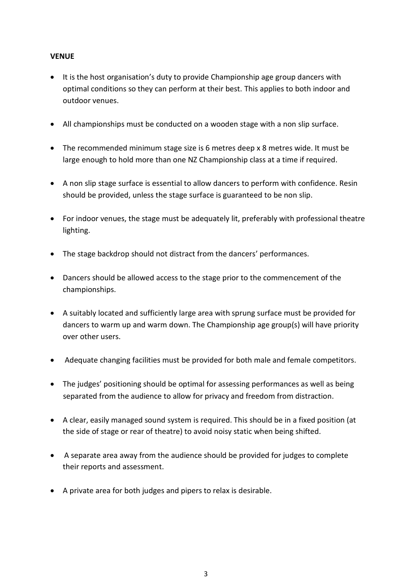#### **VENUE**

- It is the host organisation's duty to provide Championship age group dancers with optimal conditions so they can perform at their best. This applies to both indoor and outdoor venues.
- All championships must be conducted on a wooden stage with a non slip surface.
- The recommended minimum stage size is 6 metres deep x 8 metres wide. It must be large enough to hold more than one NZ Championship class at a time if required.
- A non slip stage surface is essential to allow dancers to perform with confidence. Resin should be provided, unless the stage surface is guaranteed to be non slip.
- For indoor venues, the stage must be adequately lit, preferably with professional theatre lighting.
- The stage backdrop should not distract from the dancers' performances.
- Dancers should be allowed access to the stage prior to the commencement of the championships.
- A suitably located and sufficiently large area with sprung surface must be provided for dancers to warm up and warm down. The Championship age group(s) will have priority over other users.
- Adequate changing facilities must be provided for both male and female competitors.
- The judges' positioning should be optimal for assessing performances as well as being separated from the audience to allow for privacy and freedom from distraction.
- A clear, easily managed sound system is required. This should be in a fixed position (at the side of stage or rear of theatre) to avoid noisy static when being shifted.
- A separate area away from the audience should be provided for judges to complete their reports and assessment.
- A private area for both judges and pipers to relax is desirable.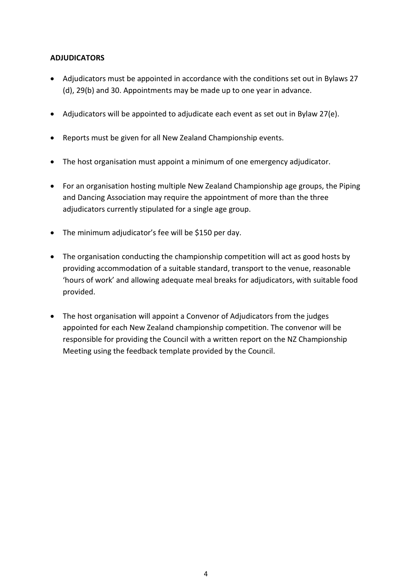# **ADJUDICATORS**

- Adjudicators must be appointed in accordance with the conditions set out in Bylaws 27 (d), 29(b) and 30. Appointments may be made up to one year in advance.
- Adjudicators will be appointed to adjudicate each event as set out in Bylaw 27(e).
- Reports must be given for all New Zealand Championship events.
- The host organisation must appoint a minimum of one emergency adjudicator.
- For an organisation hosting multiple New Zealand Championship age groups, the Piping and Dancing Association may require the appointment of more than the three adjudicators currently stipulated for a single age group.
- The minimum adjudicator's fee will be \$150 per day.
- The organisation conducting the championship competition will act as good hosts by providing accommodation of a suitable standard, transport to the venue, reasonable 'hours of work' and allowing adequate meal breaks for adjudicators, with suitable food provided.
- The host organisation will appoint a Convenor of Adjudicators from the judges appointed for each New Zealand championship competition. The convenor will be responsible for providing the Council with a written report on the NZ Championship Meeting using the feedback template provided by the Council.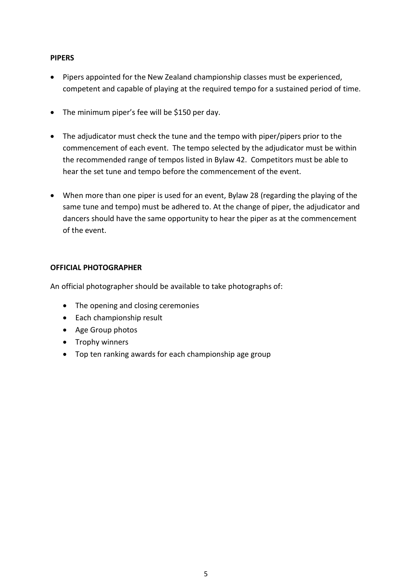#### **PIPERS**

- Pipers appointed for the New Zealand championship classes must be experienced, competent and capable of playing at the required tempo for a sustained period of time.
- The minimum piper's fee will be \$150 per day.
- The adjudicator must check the tune and the tempo with piper/pipers prior to the commencement of each event. The tempo selected by the adjudicator must be within the recommended range of tempos listed in Bylaw 42. Competitors must be able to hear the set tune and tempo before the commencement of the event.
- When more than one piper is used for an event, Bylaw 28 (regarding the playing of the same tune and tempo) must be adhered to. At the change of piper, the adjudicator and dancers should have the same opportunity to hear the piper as at the commencement of the event.

# **OFFICIAL PHOTOGRAPHER**

An official photographer should be available to take photographs of:

- The opening and closing ceremonies
- Each championship result
- Age Group photos
- Trophy winners
- Top ten ranking awards for each championship age group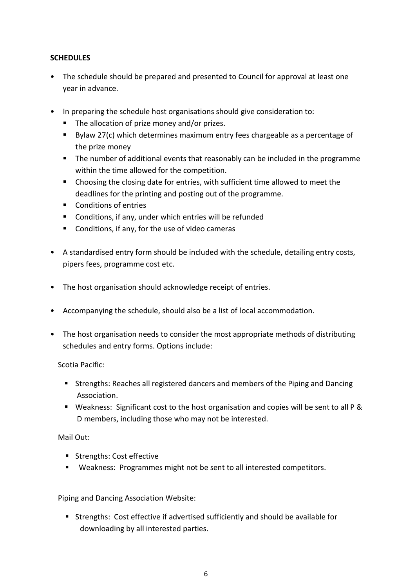# **SCHEDULES**

- The schedule should be prepared and presented to Council for approval at least one year in advance.
- In preparing the schedule host organisations should give consideration to:
	- The allocation of prize money and/or prizes.
	- Bylaw 27(c) which determines maximum entry fees chargeable as a percentage of the prize money
	- The number of additional events that reasonably can be included in the programme within the time allowed for the competition.
	- Choosing the closing date for entries, with sufficient time allowed to meet the deadlines for the printing and posting out of the programme.
	- Conditions of entries
	- **Conditions, if any, under which entries will be refunded**
	- **Conditions, if any, for the use of video cameras**
- A standardised entry form should be included with the schedule, detailing entry costs, pipers fees, programme cost etc.
- The host organisation should acknowledge receipt of entries.
- Accompanying the schedule, should also be a list of local accommodation.
- The host organisation needs to consider the most appropriate methods of distributing schedules and entry forms. Options include:

# Scotia Pacific:

- **Strengths: Reaches all registered dancers and members of the Piping and Dancing** Association.
- Weakness: Significant cost to the host organisation and copies will be sent to all P & D members, including those who may not be interested.

# Mail Out:

- **Strengths: Cost effective**
- Weakness: Programmes might not be sent to all interested competitors.

Piping and Dancing Association Website:

 Strengths: Cost effective if advertised sufficiently and should be available for downloading by all interested parties.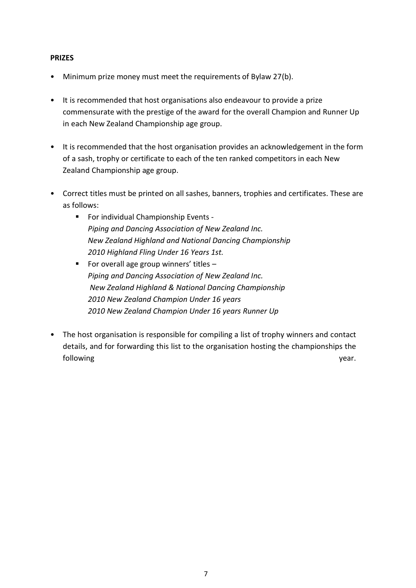#### **PRIZES**

- Minimum prize money must meet the requirements of Bylaw 27(b).
- It is recommended that host organisations also endeavour to provide a prize commensurate with the prestige of the award for the overall Champion and Runner Up in each New Zealand Championship age group.
- It is recommended that the host organisation provides an acknowledgement in the form of a sash, trophy or certificate to each of the ten ranked competitors in each New Zealand Championship age group.
- Correct titles must be printed on all sashes, banners, trophies and certificates. These are as follows:
	- **For individual Championship Events -***Piping and Dancing Association of New Zealand Inc. New Zealand Highland and National Dancing Championship 2010 Highland Fling Under 16 Years 1st.*
	- For overall age group winners' titles  $-$ *Piping and Dancing Association of New Zealand Inc. New Zealand Highland & National Dancing Championship 2010 New Zealand Champion Under 16 years 2010 New Zealand Champion Under 16 years Runner Up*
- The host organisation is responsible for compiling a list of trophy winners and contact details, and for forwarding this list to the organisation hosting the championships the following vear. The set of the set of the set of the set of the set of the set of the set of the set of the set of the set of the set of the set of the set of the set of the set of the set of the set of the set of the set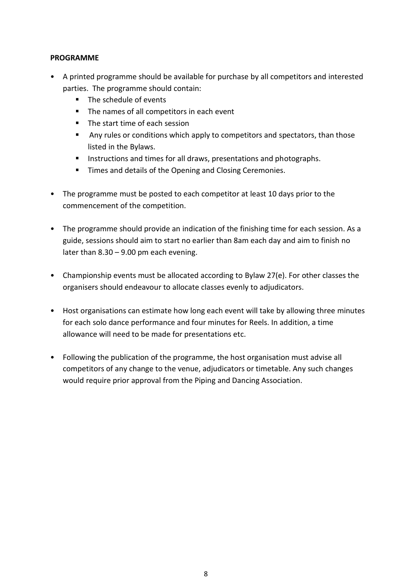#### **PROGRAMME**

- A printed programme should be available for purchase by all competitors and interested parties. The programme should contain:
	- The schedule of events
	- The names of all competitors in each event
	- The start time of each session
	- Any rules or conditions which apply to competitors and spectators, than those listed in the Bylaws.
	- **Instructions and times for all draws, presentations and photographs.**
	- **Times and details of the Opening and Closing Ceremonies.**
- The programme must be posted to each competitor at least 10 days prior to the commencement of the competition.
- The programme should provide an indication of the finishing time for each session. As a guide, sessions should aim to start no earlier than 8am each day and aim to finish no later than 8.30 – 9.00 pm each evening.
- Championship events must be allocated according to Bylaw 27(e). For other classes the organisers should endeavour to allocate classes evenly to adjudicators.
- Host organisations can estimate how long each event will take by allowing three minutes for each solo dance performance and four minutes for Reels. In addition, a time allowance will need to be made for presentations etc.
- Following the publication of the programme, the host organisation must advise all competitors of any change to the venue, adjudicators or timetable. Any such changes would require prior approval from the Piping and Dancing Association.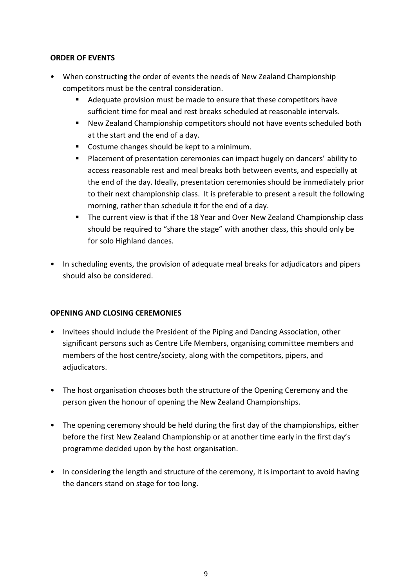#### **ORDER OF EVENTS**

- When constructing the order of events the needs of New Zealand Championship competitors must be the central consideration.
	- Adequate provision must be made to ensure that these competitors have sufficient time for meal and rest breaks scheduled at reasonable intervals.
	- New Zealand Championship competitors should not have events scheduled both at the start and the end of a day.
	- Costume changes should be kept to a minimum.
	- **Placement of presentation ceremonies can impact hugely on dancers' ability to** access reasonable rest and meal breaks both between events, and especially at the end of the day. Ideally, presentation ceremonies should be immediately prior to their next championship class. It is preferable to present a result the following morning, rather than schedule it for the end of a day.
	- **The current view is that if the 18 Year and Over New Zealand Championship class** should be required to "share the stage" with another class, this should only be for solo Highland dances.
- In scheduling events, the provision of adequate meal breaks for adjudicators and pipers should also be considered.

# **OPENING AND CLOSING CEREMONIES**

- Invitees should include the President of the Piping and Dancing Association, other significant persons such as Centre Life Members, organising committee members and members of the host centre/society, along with the competitors, pipers, and adjudicators.
- The host organisation chooses both the structure of the Opening Ceremony and the person given the honour of opening the New Zealand Championships.
- The opening ceremony should be held during the first day of the championships, either before the first New Zealand Championship or at another time early in the first day's programme decided upon by the host organisation.
- In considering the length and structure of the ceremony, it is important to avoid having the dancers stand on stage for too long.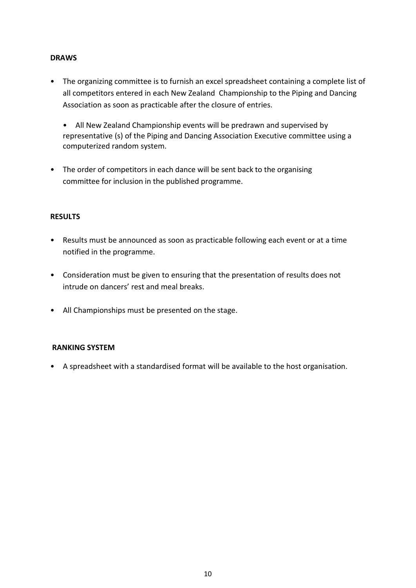#### **DRAWS**

- The organizing committee is to furnish an excel spreadsheet containing a complete list of all competitors entered in each New Zealand Championship to the Piping and Dancing Association as soon as practicable after the closure of entries.
	- All New Zealand Championship events will be predrawn and supervised by representative (s) of the Piping and Dancing Association Executive committee using a computerized random system.
- The order of competitors in each dance will be sent back to the organising committee for inclusion in the published programme.

# **RESULTS**

- Results must be announced as soon as practicable following each event or at a time notified in the programme.
- Consideration must be given to ensuring that the presentation of results does not intrude on dancers' rest and meal breaks.
- All Championships must be presented on the stage.

# **RANKING SYSTEM**

• A spreadsheet with a standardised format will be available to the host organisation.